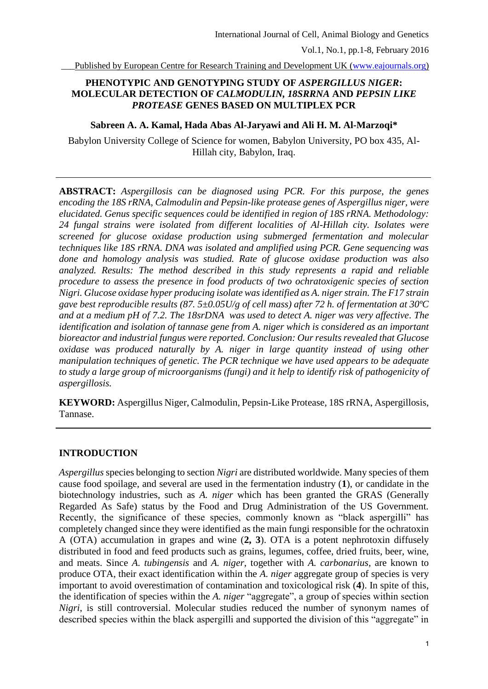Published by European Centre for Research Training and Development UK [\(www.eajournals.org\)](http://www.eajournals.org/)

# **PHENOTYPIC AND GENOTYPING STUDY OF** *ASPERGILLUS NIGER***: MOLECULAR DETECTION OF** *CALMODULIN, 18SRRNA* **AND** *PEPSIN LIKE PROTEASE* **GENES BASED ON MULTIPLEX PCR**

### **Sabreen A. A. Kamal, Hada Abas Al-Jaryawi and Ali H. M. Al-Marzoqi\***

Babylon University College of Science for women, Babylon University, PO box 435, Al-Hillah city, Babylon, Iraq.

**ABSTRACT:** *Aspergillosis can be diagnosed using PCR. For this purpose, the genes encoding the 18S rRNA, Calmodulin and Pepsin-like protease genes of Aspergillus niger, were elucidated. Genus specific sequences could be identified in region of 18S rRNA. Methodology: 24 fungal strains were isolated from different localities of Al-Hillah city. Isolates were screened for glucose oxidase production using submerged fermentation and molecular techniques like 18S rRNA. DNA was isolated and amplified using PCR. Gene sequencing was done and homology analysis was studied. Rate of glucose oxidase production was also analyzed. Results: The method described in this study represents a rapid and reliable procedure to assess the presence in food products of two ochratoxigenic species of section Nigri. Glucose oxidase hyper producing isolate was identified as A. niger strain. The F17 strain gave best reproducible results (87. 5±0.05U/g of cell mass) after 72 h. of fermentation at 30ºC and at a medium pH of 7.2. The 18srDNA was used to detect A. niger was very affective. The identification and isolation of tannase gene from A. niger which is considered as an important bioreactor and industrial fungus were reported. Conclusion: Our results revealed that Glucose oxidase was produced naturally by A. niger in large quantity instead of using other manipulation techniques of genetic. The PCR technique we have used appears to be adequate to study a large group of microorganisms (fungi) and it help to identify risk of pathogenicity of aspergillosis.*

**KEYWORD:** Aspergillus Niger, Calmodulin, Pepsin-Like Protease, 18S rRNA, Aspergillosis, Tannase.

## **INTRODUCTION**

*Aspergillus* species belonging to section *Nigri* are distributed worldwide. Many species of them cause food spoilage, and several are used in the fermentation industry (**1**), or candidate in the biotechnology industries, such as *A. niger* which has been granted the GRAS (Generally Regarded As Safe) status by the Food and Drug Administration of the US Government. Recently, the significance of these species, commonly known as "black aspergilli" has completely changed since they were identified as the main fungi responsible for the ochratoxin A (OTA) accumulation in grapes and wine (**2, 3**). OTA is a potent nephrotoxin diffusely distributed in food and feed products such as grains, legumes, coffee, dried fruits, beer, wine, and meats. Since *A. tubingensis* and *A. niger*, together with *A. carbonarius*, are known to produce OTA, their exact identification within the *A. niger* aggregate group of species is very important to avoid overestimation of contamination and toxicological risk (**4**). In spite of this, the identification of species within the *A. niger* "aggregate", a group of species within section *Nigri*, is still controversial. Molecular studies reduced the number of synonym names of described species within the black aspergilli and supported the division of this "aggregate" in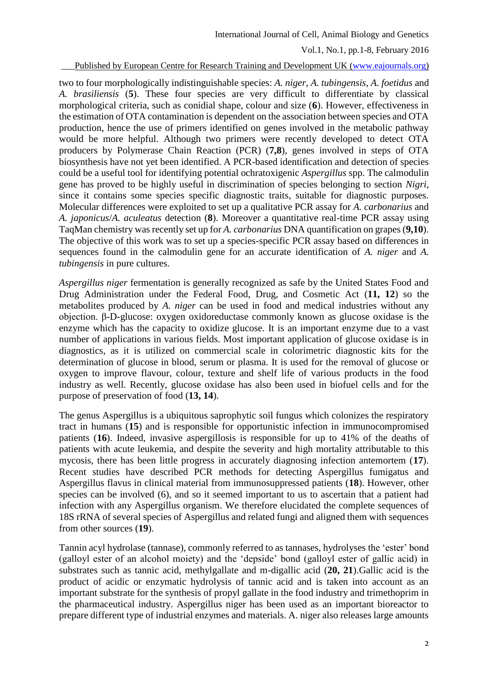Vol.1, No.1, pp.1-8, February 2016

#### Published by European Centre for Research Training and Development UK [\(www.eajournals.org\)](http://www.eajournals.org/)

two to four morphologically indistinguishable species: *A. niger*, *A. tubingensis*, *A. foetidus* and *A. brasiliensis* (**5**). These four species are very difficult to differentiate by classical morphological criteria, such as conidial shape, colour and size (**6**). However, effectiveness in the estimation of OTA contamination is dependent on the association between species and OTA production, hence the use of primers identified on genes involved in the metabolic pathway would be more helpful. Although two primers were recently developed to detect OTA producers by Polymerase Chain Reaction (PCR) (**7,8**), genes involved in steps of OTA biosynthesis have not yet been identified. A PCR-based identification and detection of species could be a useful tool for identifying potential ochratoxigenic *Aspergillus* spp. The calmodulin gene has proved to be highly useful in discrimination of species belonging to section *Nigri*, since it contains some species specific diagnostic traits, suitable for diagnostic purposes. Molecular differences were exploited to set up a qualitative PCR assay for *A. carbonarius* and *A. japonicus*/*A. aculeatus* detection (**8**). Moreover a quantitative real-time PCR assay using TaqMan chemistry was recently set up for *A. carbonarius* DNA quantification on grapes (**9,10**). The objective of this work was to set up a species-specific PCR assay based on differences in sequences found in the calmodulin gene for an accurate identification of *A. niger* and *A. tubingensis* in pure cultures.

*Aspergillus niger* fermentation is generally recognized as safe by the United States Food and Drug Administration under the Federal Food, Drug, and Cosmetic Act (**11, 12**) so the metabolites produced by *A. niger* can be used in food and medical industries without any objection. β-D-glucose: oxygen oxidoreductase commonly known as glucose oxidase is the enzyme which has the capacity to oxidize glucose. It is an important enzyme due to a vast number of applications in various fields. Most important application of glucose oxidase is in diagnostics, as it is utilized on commercial scale in colorimetric diagnostic kits for the determination of glucose in blood, serum or plasma. It is used for the removal of glucose or oxygen to improve flavour, colour, texture and shelf life of various products in the food industry as well. Recently, glucose oxidase has also been used in biofuel cells and for the purpose of preservation of food (**13, 14**).

The genus Aspergillus is a ubiquitous saprophytic soil fungus which colonizes the respiratory tract in humans (**15**) and is responsible for opportunistic infection in immunocompromised patients (**16**). Indeed, invasive aspergillosis is responsible for up to 41% of the deaths of patients with acute leukemia, and despite the severity and high mortality attributable to this mycosis, there has been little progress in accurately diagnosing infection antemortem (**17**). Recent studies have described PCR methods for detecting Aspergillus fumigatus and Aspergillus flavus in clinical material from immunosuppressed patients (**18**). However, other species can be involved (6), and so it seemed important to us to ascertain that a patient had infection with any Aspergillus organism. We therefore elucidated the complete sequences of 18S rRNA of several species of Aspergillus and related fungi and aligned them with sequences from other sources (**19**).

Tannin acyl hydrolase (tannase), commonly referred to as tannases, hydrolyses the 'ester' bond (galloyl ester of an alcohol moiety) and the 'depside' bond (galloyl ester of gallic acid) in substrates such as tannic acid, methylgallate and m-digallic acid (**20, 21**).Gallic acid is the product of acidic or enzymatic hydrolysis of tannic acid and is taken into account as an important substrate for the synthesis of propyl gallate in the food industry and trimethoprim in the pharmaceutical industry. Aspergillus niger has been used as an important bioreactor to prepare different type of industrial enzymes and materials. A. niger also releases large amounts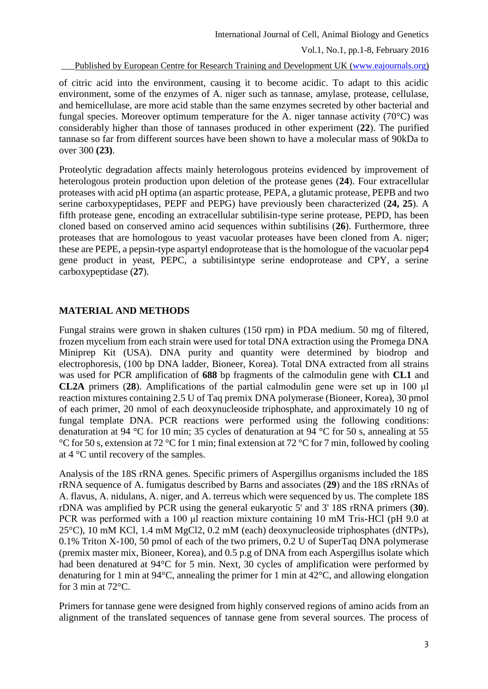International Journal of Cell, Animal Biology and Genetics

Vol.1, No.1, pp.1-8, February 2016

Published by European Centre for Research Training and Development UK [\(www.eajournals.org\)](http://www.eajournals.org/)

of citric acid into the environment, causing it to become acidic. To adapt to this acidic environment, some of the enzymes of A. niger such as tannase, amylase, protease, cellulase, and hemicellulase, are more acid stable than the same enzymes secreted by other bacterial and fungal species. Moreover optimum temperature for the A. niger tannase activity  $(70^{\circ}C)$  was considerably higher than those of tannases produced in other experiment (**22**). The purified tannase so far from different sources have been shown to have a molecular mass of 90kDa to over 300 **(23)**.

Proteolytic degradation affects mainly heterologous proteins evidenced by improvement of heterologous protein production upon deletion of the protease genes (**24**). Four extracellular proteases with acid pH optima (an aspartic protease, PEPA, a glutamic protease, PEPB and two serine carboxypeptidases, PEPF and PEPG) have previously been characterized (**24, 25**). A fifth protease gene, encoding an extracellular subtilisin-type serine protease, PEPD, has been cloned based on conserved amino acid sequences within subtilisins (**26**). Furthermore, three proteases that are homologous to yeast vacuolar proteases have been cloned from A. niger; these are PEPE, a pepsin-type aspartyl endoprotease that is the homologue of the vacuolar pep4 gene product in yeast, PEPC, a subtilisintype serine endoprotease and CPY, a serine carboxypeptidase (**27**).

## **MATERIAL AND METHODS**

Fungal strains were grown in shaken cultures (150 rpm) in PDA medium. 50 mg of filtered, frozen mycelium from each strain were used for total DNA extraction using the Promega DNA Miniprep Kit (USA). DNA purity and quantity were determined by biodrop and electrophoresis, (100 bp DNA ladder, Bioneer, Korea). Total DNA extracted from all strains was used for PCR amplification of **688** bp fragments of the calmodulin gene with **CL1** and **CL2A** primers (**28**). Amplifications of the partial calmodulin gene were set up in 100 μl reaction mixtures containing 2.5 U of Taq premix DNA polymerase (Bioneer, Korea), 30 pmol of each primer, 20 nmol of each deoxynucleoside triphosphate, and approximately 10 ng of fungal template DNA. PCR reactions were performed using the following conditions: denaturation at 94 °C for 10 min; 35 cycles of denaturation at 94 °C for 50 s, annealing at 55 °C for 50 s, extension at 72 °C for 1 min; final extension at 72 °C for 7 min, followed by cooling at 4 °C until recovery of the samples.

Analysis of the 18S rRNA genes. Specific primers of Aspergillus organisms included the 18S rRNA sequence of A. fumigatus described by Barns and associates (**29**) and the 18S rRNAs of A. flavus, A. nidulans, A. niger, and A. terreus which were sequenced by us. The complete 18S rDNA was amplified by PCR using the general eukaryotic 5' and 3' 18S rRNA primers (**30**). PCR was performed with a 100 μl reaction mixture containing 10 mM Tris-HCl (pH 9.0 at 25°C), 10 mM KCl, 1.4 mM MgCl2, 0.2 mM (each) deoxynucleoside triphosphates (dNTPs), 0.1% Triton X-100, 50 pmol of each of the two primers, 0.2 U of SuperTaq DNA polymerase (premix master mix, Bioneer, Korea), and 0.5 p.g of DNA from each Aspergillus isolate which had been denatured at 94°C for 5 min. Next, 30 cycles of amplification were performed by denaturing for 1 min at 94°C, annealing the primer for 1 min at 42°C, and allowing elongation for 3 min at 72°C.

Primers for tannase gene were designed from highly conserved regions of amino acids from an alignment of the translated sequences of tannase gene from several sources. The process of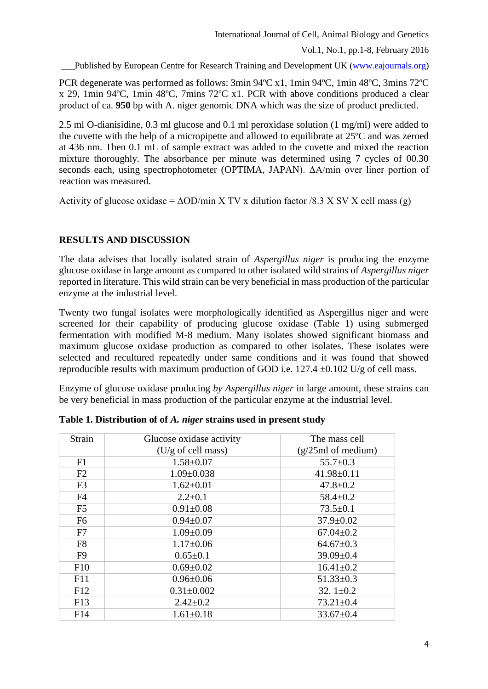Vol.1, No.1, pp.1-8, February 2016

Published by European Centre for Research Training and Development UK [\(www.eajournals.org\)](http://www.eajournals.org/)

PCR degenerate was performed as follows: 3min 94ºC x1, 1min 94ºC, 1min 48ºC, 3mins 72ºC x 29, 1min 94ºC, 1min 48ºC, 7mins 72ºC x1. PCR with above conditions produced a clear product of ca. **950** bp with A. niger genomic DNA which was the size of product predicted.

2.5 ml O-dianisidine, 0.3 ml glucose and 0.1 ml peroxidase solution (1 mg/ml) were added to the cuvette with the help of a micropipette and allowed to equilibrate at 25ºC and was zeroed at 436 nm. Then 0.1 mL of sample extract was added to the cuvette and mixed the reaction mixture thoroughly. The absorbance per minute was determined using 7 cycles of 00.30 seconds each, using spectrophotometer (OPTIMA, JAPAN). ΔA/min over liner portion of reaction was measured.

Activity of glucose oxidase =  $\Delta$ OD/min X TV x dilution factor /8.3 X SV X cell mass (g)

# **RESULTS AND DISCUSSION**

The data advises that locally isolated strain of *Aspergillus niger* is producing the enzyme glucose oxidase in large amount as compared to other isolated wild strains of *Aspergillus niger* reported in literature. This wild strain can be very beneficial in mass production of the particular enzyme at the industrial level.

Twenty two fungal isolates were morphologically identified as Aspergillus niger and were screened for their capability of producing glucose oxidase (Table 1) using submerged fermentation with modified M-8 medium. Many isolates showed significant biomass and maximum glucose oxidase production as compared to other isolates. These isolates were selected and recultured repeatedly under same conditions and it was found that showed reproducible results with maximum production of GOD i.e.  $127.4 \pm 0.102$  U/g of cell mass.

Enzyme of glucose oxidase producing *by Aspergillus niger* in large amount, these strains can be very beneficial in mass production of the particular enzyme at the industrial level.

| Strain         | Glucose oxidase activity     | The mass cell<br>$(g/25ml \text{ of medium})$ |  |  |
|----------------|------------------------------|-----------------------------------------------|--|--|
|                | $(U/g \text{ of cell mass})$ |                                               |  |  |
| F1             | $1.58 \pm 0.07$              | $55.7 \pm 0.3$                                |  |  |
| F2             | $1.09 \pm 0.038$             | $41.98 \pm 0.11$                              |  |  |
| F <sub>3</sub> | $1.62 \pm 0.01$              | $47.8 \pm 0.2$                                |  |  |
| F <sub>4</sub> | $2.2 \pm 0.1$                | $58.4 \pm 0.2$                                |  |  |
| F <sub>5</sub> | $0.91 \pm 0.08$              | $73.5 \pm 0.1$                                |  |  |
| F <sub>6</sub> | $0.94 \pm 0.07$              | $37.9 \pm 0.02$                               |  |  |
| F7             | $1.09 \pm 0.09$              | $67.04 \pm 0.2$                               |  |  |
| F <sub>8</sub> | $1.17 \pm 0.06$              | $64.67 \pm 0.3$                               |  |  |
| F <sub>9</sub> | $0.65 \pm 0.1$               | $39.09 \pm 0.4$                               |  |  |
| F10            | $0.69 \pm 0.02$              | $16.41 \pm 0.2$                               |  |  |
| F11            | $0.96 \pm 0.06$              | $51.33 \pm 0.3$                               |  |  |
| F12            | $0.31 \pm 0.002$             | 32. $1 \pm 0.2$                               |  |  |
| F13            | $2.42 \pm 0.2$               | $73.21 \pm 0.4$                               |  |  |
| F14            | $1.61 \pm 0.18$              | $33.67 \pm 0.4$                               |  |  |

**Table 1. Distribution of of** *A. niger* **strains used in present study**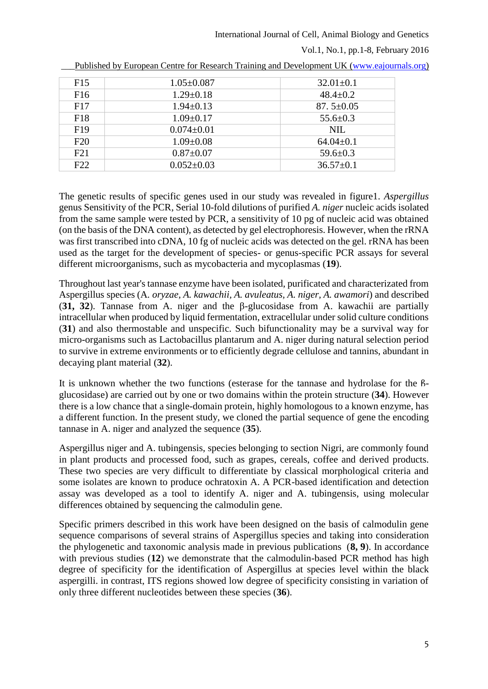International Journal of Cell, Animal Biology and Genetics

Vol.1, No.1, pp.1-8, February 2016

| F <sub>15</sub> | $1.05 \pm 0.087$ | $32.01 \pm 0.1$ |
|-----------------|------------------|-----------------|
| F <sub>16</sub> | $1.29 \pm 0.18$  | $48.4 \pm 0.2$  |
| F17             | $1.94 \pm 0.13$  | 87. $5\pm0.05$  |
| F18             | $1.09 \pm 0.17$  | $55.6 \pm 0.3$  |
| F <sub>19</sub> | $0.074 \pm 0.01$ | NIL.            |
| F20             | $1.09 \pm 0.08$  | $64.04 \pm 0.1$ |
| F21             | $0.87 \pm 0.07$  | $59.6 \pm 0.3$  |
| F22             | $0.052 \pm 0.03$ | $36.57 \pm 0.1$ |

Published by European Centre for Research Training and Development UK [\(www.eajournals.org\)](http://www.eajournals.org/)

The genetic results of specific genes used in our study was revealed in figure1. *Aspergillus* genus Sensitivity of the PCR, Serial 10-fold dilutions of purified *A. niger* nucleic acids isolated from the same sample were tested by PCR, a sensitivity of 10 pg of nucleic acid was obtained (on the basis of the DNA content), as detected by gel electrophoresis. However, when the rRNA was first transcribed into cDNA, 10 fg of nucleic acids was detected on the gel. rRNA has been used as the target for the development of species- or genus-specific PCR assays for several different microorganisms, such as mycobacteria and mycoplasmas (**19**).

Throughout last year's tannase enzyme have been isolated, purificated and characterizated from Aspergillus species (A*. oryzae, A. kawachii, A. avuleatus, A. niger, A. awamori*) and described (**31, 32**). Tannase from A. niger and the β-glucosidase from A. kawachii are partially intracellular when produced by liquid fermentation, extracellular under solid culture conditions (**31**) and also thermostable and unspecific. Such bifunctionality may be a survival way for micro-organisms such as Lactobacillus plantarum and A. niger during natural selection period to survive in extreme environments or to efficiently degrade cellulose and tannins, abundant in decaying plant material (**32**).

It is unknown whether the two functions (esterase for the tannase and hydrolase for the ჩglucosidase) are carried out by one or two domains within the protein structure (**34**). However there is a low chance that a single-domain protein, highly homologous to a known enzyme, has a different function. In the present study, we cloned the partial sequence of gene the encoding tannase in A. niger and analyzed the sequence (**35**).

Aspergillus niger and A. tubingensis, species belonging to section Nigri, are commonly found in plant products and processed food, such as grapes, cereals, coffee and derived products. These two species are very difficult to differentiate by classical morphological criteria and some isolates are known to produce ochratoxin A. A PCR-based identification and detection assay was developed as a tool to identify A. niger and A. tubingensis, using molecular differences obtained by sequencing the calmodulin gene.

Specific primers described in this work have been designed on the basis of calmodulin gene sequence comparisons of several strains of Aspergillus species and taking into consideration the phylogenetic and taxonomic analysis made in previous publications (**8, 9**). In accordance with previous studies (**12**) we demonstrate that the calmodulin-based PCR method has high degree of specificity for the identification of Aspergillus at species level within the black aspergilli. in contrast, ITS regions showed low degree of specificity consisting in variation of only three different nucleotides between these species (**36**).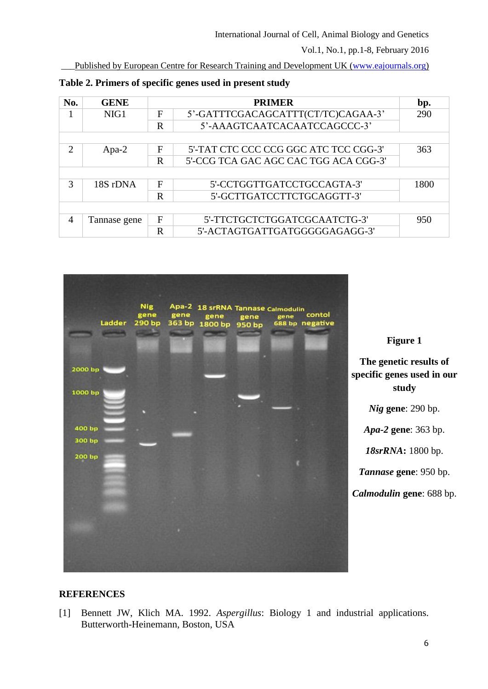Vol.1, No.1, pp.1-8, February 2016

Published by European Centre for Research Training and Development UK [\(www.eajournals.org\)](http://www.eajournals.org/)

| No.                         | <b>GENE</b>  | <b>PRIMER</b> |                                       | bp.  |
|-----------------------------|--------------|---------------|---------------------------------------|------|
|                             | NIG1         | F             | 5'-GATTTCGACAGCATTT(CT/TC)CAGAA-3'    | 290  |
|                             |              | $\mathbf R$   | 5'-AAAGTCAATCACAATCCAGCCC-3'          |      |
|                             |              |               |                                       |      |
| $\mathcal{D}_{\mathcal{L}}$ | Apa-2        | F             | 5'-TAT CTC CCC CCG GGC ATC TCC CGG-3' | 363  |
|                             |              | $\mathbf R$   | 5'-CCG TCA GAC AGC CAC TGG ACA CGG-3' |      |
|                             |              |               |                                       |      |
| $\mathcal{R}$               | 18S rDNA     | F             | 5'-CCTGGTTGATCCTGCCAGTA-3'            | 1800 |
|                             |              | $\mathbf R$   | 5'-GCTTGATCCTTCTGCAGGTT-3'            |      |
|                             |              |               |                                       |      |
| 4                           | Tannase gene | $\mathbf{F}$  | 5'-TTCTGCTCTGGATCGCAATCTG-3'          | 950  |
|                             |              | $\mathbf R$   | 5'-ACTAGTGATTGATGGGGGAGAGG-3'         |      |

**Table 2. Primers of specific genes used in present study**



**Figure 1**

**The genetic results of specific genes used in our study**

*Nig* **gene**: 290 bp.

*Apa-2* **gene**: 363 bp.

*18srRNA***:** 1800 bp.

*Tannase* **gene**: 950 bp.

*Calmodulin* **gene**: 688 bp.

## **REFERENCES**

[1] Bennett JW, Klich MA. 1992. *Aspergillus*: Biology 1 and industrial applications. Butterworth-Heinemann, Boston, USA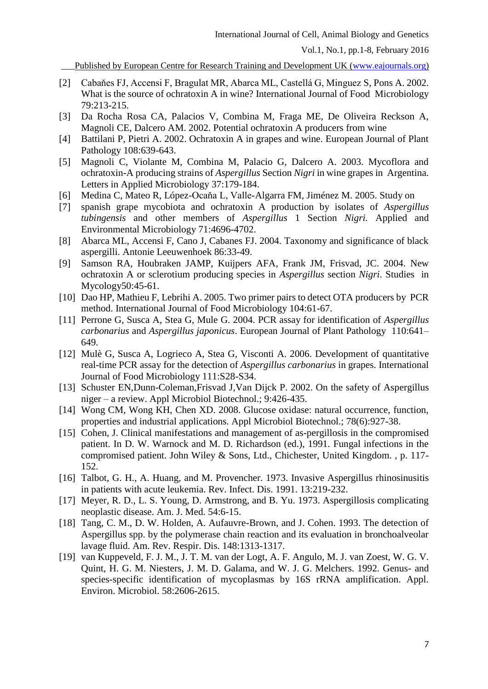Published by European Centre for Research Training and Development UK [\(www.eajournals.org\)](http://www.eajournals.org/)

- [2] Cabaňes FJ, Accensi F, Bragulat MR, Abarca ML, Castellá G, Minguez S, Pons A. 2002. What is the source of ochratoxin A in wine? International Journal of Food Microbiology 79:213-215.
- [3] Da Rocha Rosa CA, Palacios V, Combina M, Fraga ME, De Oliveira Reckson A, Magnoli CE, Dalcero AM. 2002. Potential ochratoxin A producers from wine
- [4] Battilani P, Pietri A. 2002. Ochratoxin A in grapes and wine. European Journal of Plant Pathology 108:639-643.
- [5] Magnoli C, Violante M, Combina M, Palacio G, Dalcero A. 2003. Mycoflora and ochratoxin-A producing strains of *Aspergillus* Section *Nigri* in wine grapes in Argentina. Letters in Applied Microbiology 37:179-184.
- [6] Medina C, Mateo R, López-Ocaňa L, Valle-Algarra FM, Jiménez M. 2005. Study on
- [7] spanish grape mycobiota and ochratoxin A production by isolates of *Aspergillus tubingensis* and other members of *Aspergillus* 1 Section *Nigri.* Applied and Environmental Microbiology 71:4696-4702.
- [8] Abarca ML, Accensi F, Cano J, Cabanes FJ. 2004. Taxonomy and significance of black aspergilli. Antonie Leeuwenhoek 86:33-49.
- [9] Samson RA, Houbraken JAMP, Kuijpers AFA, Frank JM, Frisvad, JC. 2004. New ochratoxin A or sclerotium producing species in *Aspergillus* section *Nigri*. Studies in Mycology50:45-61.
- [10] Dao HP, Mathieu F, Lebrihi A. 2005. Two primer pairs to detect OTA producers by PCR method. International Journal of Food Microbiology 104:61-67.
- [11] Perrone G, Susca A, Stea G, Mule G. 2004. PCR assay for identification of *Aspergillus carbonarius* and *Aspergillus japonicus*. European Journal of Plant Pathology 110:641– 649.
- [12] Mulè G, Susca A, Logrieco A, Stea G, Visconti A. 2006. Development of quantitative real-time PCR assay for the detection of *Aspergillus carbonarius* in grapes. International Journal of Food Microbiology 111:S28-S34.
- [13] Schuster EN, Dunn-Coleman, Frisvad J, Van Dijck P. 2002. On the safety of Aspergillus niger – a review. Appl Microbiol Biotechnol.; 9:426-435.
- [14] Wong CM, Wong KH, Chen XD. 2008. Glucose oxidase: natural occurrence, function, properties and industrial applications. Appl Microbiol Biotechnol.; 78(6):927-38.
- [15] Cohen, J. Clinical manifestations and management of as-pergillosis in the compromised patient. In D. W. Warnock and M. D. Richardson (ed.), 1991. Fungal infections in the compromised patient. John Wiley & Sons, Ltd., Chichester, United Kingdom. , p. 117- 152.
- [16] Talbot, G. H., A. Huang, and M. Provencher. 1973. Invasive Aspergillus rhinosinusitis in patients with acute leukemia. Rev. Infect. Dis. 1991. 13:219-232.
- [17] Meyer, R. D., L. S. Young, D. Armstrong, and B. Yu. 1973. Aspergillosis complicating neoplastic disease. Am. J. Med. 54:6-15.
- [18] Tang, C. M., D. W. Holden, A. Aufauvre-Brown, and J. Cohen. 1993. The detection of Aspergillus spp. by the polymerase chain reaction and its evaluation in bronchoalveolar lavage fluid. Am. Rev. Respir. Dis. 148:1313-1317.
- [19] van Kuppeveld, F. J. M., J. T. M. van der Logt, A. F. Angulo, M. J. van Zoest, W. G. V. Quint, H. G. M. Niesters, J. M. D. Galama, and W. J. G. Melchers. 1992. Genus- and species-specific identification of mycoplasmas by 16S rRNA amplification. Appl. Environ. Microbiol. 58:2606-2615.